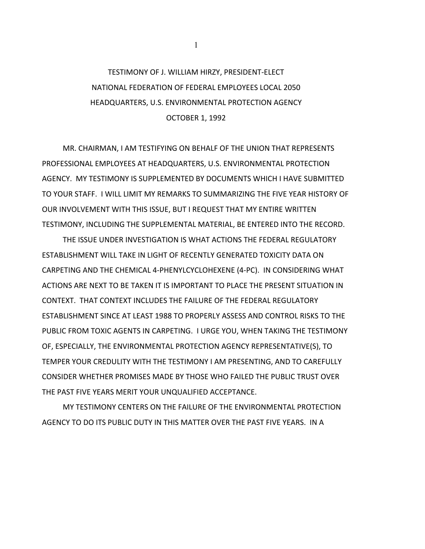## TESTIMONY OF J. WILLIAM HIRZY, PRESIDENT-ELECT NATIONAL FEDERATION OF FEDERAL EMPLOYEES LOCAL 2050 HEADQUARTERS, U.S. ENVIRONMENTAL PROTECTION AGENCY OCTOBER 1, 1992

MR. CHAIRMAN, I AM TESTIFYING ON BEHALF OF THE UNION THAT REPRESENTS PROFESSIONAL EMPLOYEES AT HEADQUARTERS, U.S. ENVIRONMENTAL PROTECTION AGENCY. MY TESTIMONY IS SUPPLEMENTED BY DOCUMENTS WHICH I HAVE SUBMITTED TO YOUR STAFF. I WILL LIMIT MY REMARKS TO SUMMARIZING THE FIVE YEAR HISTORY OF OUR INVOLVEMENT WITH THIS ISSUE, BUT I REQUEST THAT MY ENTIRE WRITTEN TESTIMONY, INCLUDING THE SUPPLEMENTAL MATERIAL, BE ENTERED INTO THE RECORD.

THE ISSUE UNDER INVESTIGATION IS WHAT ACTIONS THE FEDERAL REGULATORY ESTABLISHMENT WILL TAKE IN LIGHT OF RECENTLY GENERATED TOXICITY DATA ON CARPETING AND THE CHEMICAL 4-PHENYLCYCLOHEXENE (4-PC). IN CONSIDERING WHAT ACTIONS ARE NEXT TO BE TAKEN IT IS IMPORTANT TO PLACE THE PRESENT SITUATION IN CONTEXT. THAT CONTEXT INCLUDES THE FAILURE OF THE FEDERAL REGULATORY ESTABLISHMENT SINCE AT LEAST 1988 TO PROPERLY ASSESS AND CONTROL RISKS TO THE PUBLIC FROM TOXIC AGENTS IN CARPETING. I URGE YOU, WHEN TAKING THE TESTIMONY OF, ESPECIALLY, THE ENVIRONMENTAL PROTECTION AGENCY REPRESENTATIVE(S), TO TEMPER YOUR CREDULITY WITH THE TESTIMONY I AM PRESENTING, AND TO CAREFULLY CONSIDER WHETHER PROMISES MADE BY THOSE WHO FAILED THE PUBLIC TRUST OVER THE PAST FIVE YEARS MERIT YOUR UNQUALIFIED ACCEPTANCE.

MY TESTIMONY CENTERS ON THE FAILURE OF THE ENVIRONMENTAL PROTECTION AGENCY TO DO ITS PUBLIC DUTY IN THIS MATTER OVER THE PAST FIVE YEARS. IN A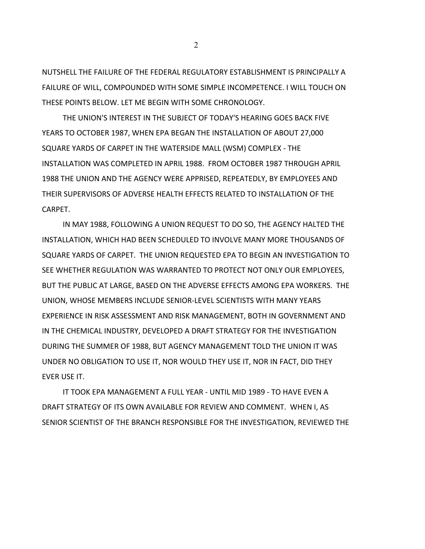NUTSHELL THE FAILURE OF THE FEDERAL REGULATORY ESTABLISHMENT IS PRINCIPALLY A FAILURE OF WILL, COMPOUNDED WITH SOME SIMPLE INCOMPETENCE. I WILL TOUCH ON THESE POINTS BELOW. LET ME BEGIN WITH SOME CHRONOLOGY.

THE UNION'S INTEREST IN THE SUBJECT OF TODAY'S HEARING GOES BACK FIVE YEARS TO OCTOBER 1987, WHEN EPA BEGAN THE INSTALLATION OF ABOUT 27,000 SQUARE YARDS OF CARPET IN THE WATERSIDE MALL (WSM) COMPLEX - THE INSTALLATION WAS COMPLETED IN APRIL 1988. FROM OCTOBER 1987 THROUGH APRIL 1988 THE UNION AND THE AGENCY WERE APPRISED, REPEATEDLY, BY EMPLOYEES AND THEIR SUPERVISORS OF ADVERSE HEALTH EFFECTS RELATED TO INSTALLATION OF THE CARPET.

IN MAY 1988, FOLLOWING A UNION REQUEST TO DO SO, THE AGENCY HALTED THE INSTALLATION, WHICH HAD BEEN SCHEDULED TO INVOLVE MANY MORE THOUSANDS OF SQUARE YARDS OF CARPET. THE UNION REQUESTED EPA TO BEGIN AN INVESTIGATION TO SEE WHETHER REGULATION WAS WARRANTED TO PROTECT NOT ONLY OUR EMPLOYEES, BUT THE PUBLIC AT LARGE, BASED ON THE ADVERSE EFFECTS AMONG EPA WORKERS. THE UNION, WHOSE MEMBERS INCLUDE SENIOR-LEVEL SCIENTISTS WITH MANY YEARS EXPERIENCE IN RISK ASSESSMENT AND RISK MANAGEMENT, BOTH IN GOVERNMENT AND IN THE CHEMICAL INDUSTRY, DEVELOPED A DRAFT STRATEGY FOR THE INVESTIGATION DURING THE SUMMER OF 1988, BUT AGENCY MANAGEMENT TOLD THE UNION IT WAS UNDER NO OBLIGATION TO USE IT, NOR WOULD THEY USE IT, NOR IN FACT, DID THEY EVER USE IT.

IT TOOK EPA MANAGEMENT A FULL YEAR - UNTIL MID 1989 - TO HAVE EVEN A DRAFT STRATEGY OF ITS OWN AVAILABLE FOR REVIEW AND COMMENT. WHEN I, AS SENIOR SCIENTIST OF THE BRANCH RESPONSIBLE FOR THE INVESTIGATION, REVIEWED THE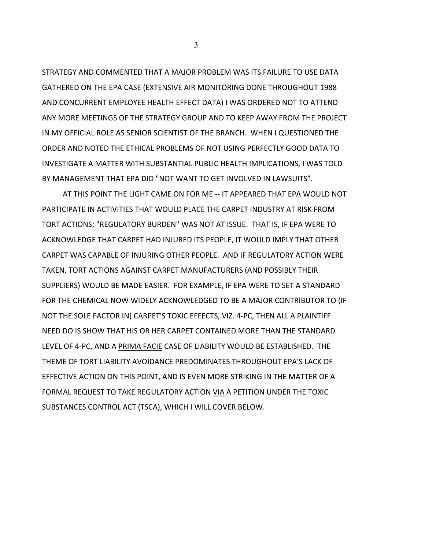STRATEGY AND COMMENTED THAT A MAJOR PROBLEM WAS ITS FAILURE TO USE DATA GATHERED ON THE EPA CASE (EXTENSIVE AIR MONITORING DONE THROUGHOUT 1988 AND CONCURRENT EMPLOYEE HEALTH EFFECT DATA) I WAS ORDERED NOT TO ATTEND ANY MORE MEETINGS OF THE STRATEGY GROUP AND TO KEEP AWAY FROM THE PROJECT IN MY OFFICIAL ROLE AS SENIOR SCIENTIST OF THE BRANCH. WHEN I QUESTIONED THE ORDER AND NOTED THE ETHICAL PROBLEMS OF NOT USING PERFECTLY GOOD DATA TO INVESTIGATE A MATTER WITH SUBSTANTIAL PUBLIC HEALTH IMPLICATIONS, I WAS TOLD BY MANAGEMENT THAT EPA DID "NOT WANT TO GET INVOLVED IN LAWSUITS".

AT THIS POINT THE LIGHT CAME ON FOR ME -- IT APPEARED THAT EPA WOULD NOT PARTICIPATE IN ACTIVITIES THAT WOULD PLACE THE CARPET INDUSTRY AT RISK FROM TORT ACTIONS; "REGULATORY BURDEN" WAS NOT AT ISSUE. THAT IS, IF EPA WERE TO ACKNOWLEDGE THAT CARPET HAD INJURED ITS PEOPLE, IT WOULD IMPLY THAT OTHER CARPET WAS CAPABLE OF INJURING OTHER PEOPLE. AND IF REGULATORY ACTION WERE TAKEN, TORT ACTIONS AGAINST CARPET MANUFACTURERS (AND POSSIBLY THEIR SUPPLIERS) WOULD BE MADE EASIER. FOR EXAMPLE, IF EPA WERE TO SET A STANDARD FOR THE CHEMICAL NOW WIDELY ACKNOWLEDGED TO BE A MAJOR CONTRIBUTOR TO (IF NOT THE SOLE FACTOR IN) CARPET'S TOXIC EFFECTS, VIZ. 4-PC, THEN ALL A PLAINTIFF NEED DO IS SHOW THAT HIS OR HER CARPET CONTAINED MORE THAN THE STANDARD LEVEL OF 4-PC, AND A PRIMA FACIE CASE OF LIABILITY WOULD BE ESTABLISHED. THE THEME OF TORT LIABILITY AVOIDANCE PREDOMINATES THROUGHOUT EPA'S LACK OF EFFECTIVE ACTION ON THIS POINT, AND IS EVEN MORE STRIKING IN THE MATTER OF A FORMAL REQUEST TO TAKE REGULATORY ACTION VIA A PETITION UNDER THE TOXIC SUBSTANCES CONTROL ACT (TSCA), WHICH I WILL COVER BELOW.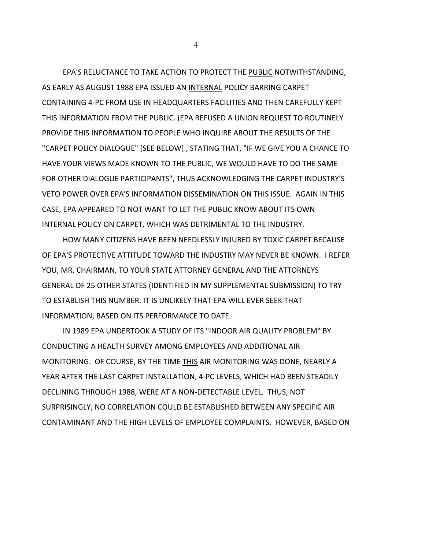EPA'S RELUCTANCE TO TAKE ACTION TO PROTECT THE PUBLIC NOTWITHSTANDING, AS EARLY AS AUGUST 1988 EPA ISSUED AN INTERNAL POLICY BARRING CARPET CONTAINING 4-PC FROM USE IN HEADQUARTERS FACILITIES AND THEN CAREFULLY KEPT THIS INFORMATION FROM THE PUBLIC. (EPA REFUSED A UNION REQUEST TO ROUTINELY PROVIDE THIS INFORMATION TO PEOPLE WHO INQUIRE ABOUT THE RESULTS OF THE "CARPET POLICY DIALOGUE" [SEE BELOW] , STATING THAT, "IF WE GIVE YOU A CHANCE TO HAVE YOUR VIEWS MADE KNOWN TO THE PUBLIC, WE WOULD HAVE TO DO THE SAME FOR OTHER DIALOGUE PARTICIPANTS", THUS ACKNOWLEDGING THE CARPET INDUSTRY'S VETO POWER OVER EPA'S INFORMATION DISSEMINATION ON THIS ISSUE. AGAIN IN THIS CASE, EPA APPEARED TO NOT WANT TO LET THE PUBLIC KNOW ABOUT ITS OWN INTERNAL POLICY ON CARPET, WHICH WAS DETRIMENTAL TO THE INDUSTRY.

HOW MANY CITIZENS HAVE BEEN NEEDLESSLY INJURED BY TOXIC CARPET BECAUSE OF EPA'S PROTECTIVE ATTITUDE TOWARD THE INDUSTRY MAY NEVER BE KNOWN. I REFER YOU, MR. CHAIRMAN, TO YOUR STATE ATTORNEY GENERAL AND THE ATTORNEYS GENERAL OF 25 OTHER STATES (IDENTIFIED IN MY SUPPLEMENTAL SUBMISSION) TO TRY TO ESTABLISH THIS NUMBER. IT IS UNLIKELY THAT EPA WILL EVER SEEK THAT INFORMATION, BASED ON ITS PERFORMANCE TO DATE.

IN 1989 EPA UNDERTOOK A STUDY OF ITS "INDOOR AIR QUALITY PROBLEM" BY CONDUCTING A HEALTH SURVEY AMONG EMPLOYEES AND ADDITIONAL AIR MONITORING. OF COURSE, BY THE TIME THIS AIR MONITORING WAS DONE, NEARLY A YEAR AFTER THE LAST CARPET INSTALLATION, 4-PC LEVELS, WHICH HAD BEEN STEADILY DECLINING THROUGH 1988, WERE AT A NON-DETECTABLE LEVEL. THUS, NOT SURPRISINGLY, NO CORRELATION COULD BE ESTABLISHED BETWEEN ANY SPECIFIC AIR CONTAMINANT AND THE HIGH LEVELS OF EMPLOYEE COMPLAINTS. HOWEVER, BASED ON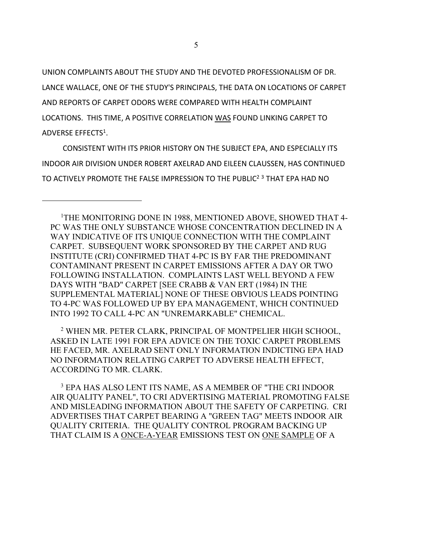UNION COMPLAINTS ABOUT THE STUDY AND THE DEVOTED PROFESSIONALISM OF DR. LANCE WALLACE, ONE OF THE STUDY'S PRINCIPALS, THE DATA ON LOCATIONS OF CARPET AND REPORTS OF CARPET ODORS WERE COMPARED WITH HEALTH COMPLAINT LOCATIONS. THIS TIME, A POSITIVE CORRELATION WAS FOUND LINKING CARPET TO ADVERSE EFFECTS<sup>1</sup>.

CONSISTENT WITH ITS PRIOR HISTORY ON THE SUBJECT EPA, AND ESPECIALLY ITS INDOOR AIR DIVISION UNDER ROBERT AXELRAD AND EILEEN CLAUSSEN, HAS CONTINUED TO ACTIVELY PROMOTE THE FALSE IMPRESSION TO THE PUBLIC<sup>2 3</sup> THAT EPA HAD NO

 2 WHEN MR. PETER CLARK, PRINCIPAL OF MONTPELIER HIGH SCHOOL, ASKED IN LATE 1991 FOR EPA ADVICE ON THE TOXIC CARPET PROBLEMS HE FACED, MR. AXELRAD SENT ONLY INFORMATION INDICTING EPA HAD NO INFORMATION RELATING CARPET TO ADVERSE HEALTH EFFECT, ACCORDING TO MR. CLARK.

 3 EPA HAS ALSO LENT ITS NAME, AS A MEMBER OF "THE CRI INDOOR AIR QUALITY PANEL", TO CRI ADVERTISING MATERIAL PROMOTING FALSE AND MISLEADING INFORMATION ABOUT THE SAFETY OF CARPETING. CRI ADVERTISES THAT CARPET BEARING A "GREEN TAG" MEETS INDOOR AIR QUALITY CRITERIA. THE QUALITY CONTROL PROGRAM BACKING UP THAT CLAIM IS A ONCE-A-YEAR EMISSIONS TEST ON ONE SAMPLE OF A

<sup>&</sup>lt;sup>1</sup>THE MONITORING DONE IN 1988, MENTIONED ABOVE, SHOWED THAT 4-PC WAS THE ONLY SUBSTANCE WHOSE CONCENTRATION DECLINED IN A WAY INDICATIVE OF ITS UNIQUE CONNECTION WITH THE COMPLAINT CARPET. SUBSEQUENT WORK SPONSORED BY THE CARPET AND RUG INSTITUTE (CRI) CONFIRMED THAT 4-PC IS BY FAR THE PREDOMINANT CONTAMINANT PRESENT IN CARPET EMISSIONS AFTER A DAY OR TWO FOLLOWING INSTALLATION. COMPLAINTS LAST WELL BEYOND A FEW DAYS WITH "BAD" CARPET [SEE CRABB & VAN ERT (1984) IN THE SUPPLEMENTAL MATERIAL] NONE OF THESE OBVIOUS LEADS POINTING TO 4-PC WAS FOLLOWED UP BY EPA MANAGEMENT, WHICH CONTINUED INTO 1992 TO CALL 4-PC AN "UNREMARKABLE" CHEMICAL.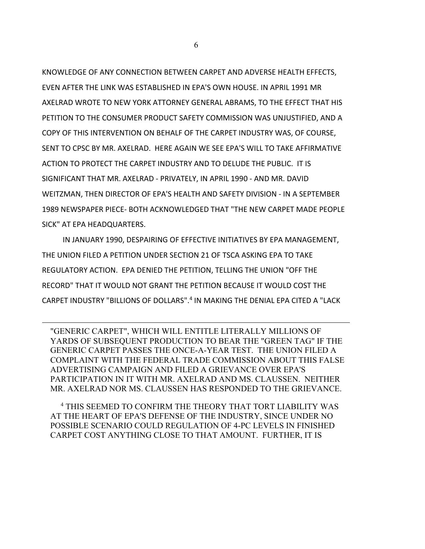KNOWLEDGE OF ANY CONNECTION BETWEEN CARPET AND ADVERSE HEALTH EFFECTS, EVEN AFTER THE LINK WAS ESTABLISHED IN EPA'S OWN HOUSE. IN APRIL 1991 MR AXELRAD WROTE TO NEW YORK ATTORNEY GENERAL ABRAMS, TO THE EFFECT THAT HIS PETITION TO THE CONSUMER PRODUCT SAFETY COMMISSION WAS UNJUSTIFIED, AND A COPY OF THIS INTERVENTION ON BEHALF OF THE CARPET INDUSTRY WAS, OF COURSE, SENT TO CPSC BY MR. AXELRAD. HERE AGAIN WE SEE EPA'S WILL TO TAKE AFFIRMATIVE ACTION TO PROTECT THE CARPET INDUSTRY AND TO DELUDE THE PUBLIC. IT IS SIGNIFICANT THAT MR. AXELRAD - PRIVATELY, IN APRIL 1990 - AND MR. DAVID WEITZMAN, THEN DIRECTOR OF EPA'S HEALTH AND SAFETY DIVISION - IN A SEPTEMBER 1989 NEWSPAPER PIECE- BOTH ACKNOWLEDGED THAT "THE NEW CARPET MADE PEOPLE SICK" AT EPA HEADQUARTERS.

IN JANUARY 1990, DESPAIRING OF EFFECTIVE INITIATIVES BY EPA MANAGEMENT, THE UNION FILED A PETITION UNDER SECTION 21 OF TSCA ASKING EPA TO TAKE REGULATORY ACTION. EPA DENIED THE PETITION, TELLING THE UNION "OFF THE RECORD" THAT IT WOULD NOT GRANT THE PETITION BECAUSE IT WOULD COST THE CARPET INDUSTRY "BILLIONS OF DOLLARS".4 IN MAKING THE DENIAL EPA CITED A "LACK

"GENERIC CARPET", WHICH WILL ENTITLE LITERALLY MILLIONS OF YARDS OF SUBSEQUENT PRODUCTION TO BEAR THE "GREEN TAG" IF THE GENERIC CARPET PASSES THE ONCE-A-YEAR TEST. THE UNION FILED A COMPLAINT WITH THE FEDERAL TRADE COMMISSION ABOUT THIS FALSE ADVERTISING CAMPAIGN AND FILED A GRIEVANCE OVER EPA'S PARTICIPATION IN IT WITH MR. AXELRAD AND MS. CLAUSSEN. NEITHER MR. AXELRAD NOR MS. CLAUSSEN HAS RESPONDED TO THE GRIEVANCE.

 4 THIS SEEMED TO CONFIRM THE THEORY THAT TORT LIABILITY WAS AT THE HEART OF EPA'S DEFENSE OF THE INDUSTRY, SINCE UNDER NO POSSIBLE SCENARIO COULD REGULATION OF 4-PC LEVELS IN FINISHED CARPET COST ANYTHING CLOSE TO THAT AMOUNT. FURTHER, IT IS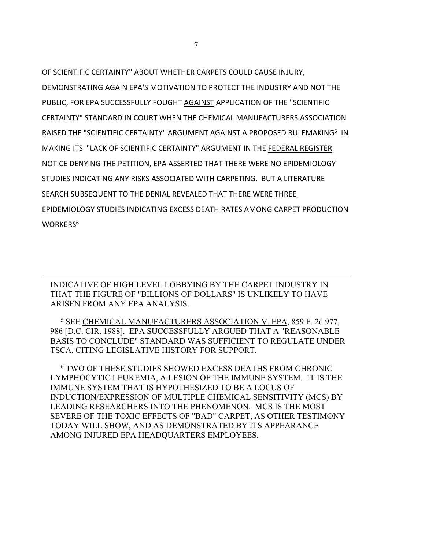OF SCIENTIFIC CERTAINTY" ABOUT WHETHER CARPETS COULD CAUSE INJURY, DEMONSTRATING AGAIN EPA'S MOTIVATION TO PROTECT THE INDUSTRY AND NOT THE PUBLIC, FOR EPA SUCCESSFULLY FOUGHT AGAINST APPLICATION OF THE "SCIENTIFIC CERTAINTY" STANDARD IN COURT WHEN THE CHEMICAL MANUFACTURERS ASSOCIATION RAISED THE "SCIENTIFIC CERTAINTY" ARGUMENT AGAINST A PROPOSED RULEMAKING<sup>5</sup> IN MAKING ITS "LACK OF SCIENTIFIC CERTAINTY" ARGUMENT IN THE FEDERAL REGISTER NOTICE DENYING THE PETITION, EPA ASSERTED THAT THERE WERE NO EPIDEMIOLOGY STUDIES INDICATING ANY RISKS ASSOCIATED WITH CARPETING. BUT A LITERATURE SEARCH SUBSEQUENT TO THE DENIAL REVEALED THAT THERE WERE THREE EPIDEMIOLOGY STUDIES INDICATING EXCESS DEATH RATES AMONG CARPET PRODUCTION WORKERS<sup>6</sup>

INDICATIVE OF HIGH LEVEL LOBBYING BY THE CARPET INDUSTRY IN THAT THE FIGURE OF "BILLIONS OF DOLLARS" IS UNLIKELY TO HAVE ARISEN FROM ANY EPA ANALYSIS.

 5 SEE CHEMICAL MANUFACTURERS ASSOCIATION V. EPA, 859 F. 2d 977, 986 [D.C. CIR. 1988]. EPA SUCCESSFULLY ARGUED THAT A "REASONABLE BASIS TO CONCLUDE" STANDARD WAS SUFFICIENT TO REGULATE UNDER TSCA, CITING LEGISLATIVE HISTORY FOR SUPPORT.

 6 TWO OF THESE STUDIES SHOWED EXCESS DEATHS FROM CHRONIC LYMPHOCYTIC LEUKEMIA, A LESION OF THE IMMUNE SYSTEM. IT IS THE IMMUNE SYSTEM THAT IS HYPOTHESIZED TO BE A LOCUS OF INDUCTION/EXPRESSION OF MULTIPLE CHEMICAL SENSITIVITY (MCS) BY LEADING RESEARCHERS INTO THE PHENOMENON. MCS IS THE MOST SEVERE OF THE TOXIC EFFECTS OF "BAD" CARPET, AS OTHER TESTIMONY TODAY WILL SHOW, AND AS DEMONSTRATED BY ITS APPEARANCE AMONG INJURED EPA HEADQUARTERS EMPLOYEES.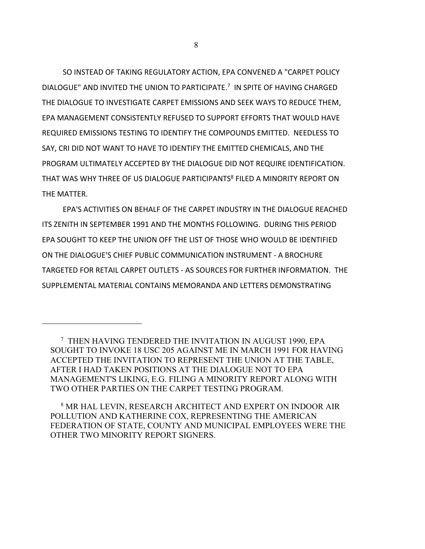SO INSTEAD OF TAKING REGULATORY ACTION, EPA CONVENED A "CARPET POLICY DIALOGUE" AND INVITED THE UNION TO PARTICIPATE.<sup>7</sup> IN SPITE OF HAVING CHARGED THE DIALOGUE TO INVESTIGATE CARPET EMISSIONS AND SEEK WAYS TO REDUCE THEM, EPA MANAGEMENT CONSISTENTLY REFUSED TO SUPPORT EFFORTS THAT WOULD HAVE REQUIRED EMISSIONS TESTING TO IDENTIFY THE COMPOUNDS EMITTED. NEEDLESS TO SAY, CRI DID NOT WANT TO HAVE TO IDENTIFY THE EMITTED CHEMICALS, AND THE PROGRAM ULTIMATELY ACCEPTED BY THE DIALOGUE DID NOT REQUIRE IDENTIFICATION. THAT WAS WHY THREE OF US DIALOGUE PARTICIPANTS<sup>8</sup> FILED A MINORITY REPORT ON THE MATTER.

EPA'S ACTIVITIES ON BEHALF OF THE CARPET INDUSTRY IN THE DIALOGUE REACHED ITS ZENITH IN SEPTEMBER 1991 AND THE MONTHS FOLLOWING. DURING THIS PERIOD EPA SOUGHT TO KEEP THE UNION OFF THE LIST OF THOSE WHO WOULD BE IDENTIFIED ON THE DIALOGUE'S CHIEF PUBLIC COMMUNICATION INSTRUMENT - A BROCHURE TARGETED FOR RETAIL CARPET OUTLETS - AS SOURCES FOR FURTHER INFORMATION. THE SUPPLEMENTAL MATERIAL CONTAINS MEMORANDA AND LETTERS DEMONSTRATING

 8 MR HAL LEVIN, RESEARCH ARCHITECT AND EXPERT ON INDOOR AIR POLLUTION AND KATHERINE COX, REPRESENTING THE AMERICAN FEDERATION OF STATE, COUNTY AND MUNICIPAL EMPLOYEES WERE THE OTHER TWO MINORITY REPORT SIGNERS.

 <sup>7</sup> THEN HAVING TENDERED THE INVITATION IN AUGUST 1990, EPA SOUGHT TO INVOKE 18 USC 205 AGAINST ME IN MARCH 1991 FOR HAVING ACCEPTED THE INVITATION TO REPRESENT THE UNION AT THE TABLE, AFTER I HAD TAKEN POSITIONS AT THE DIALOGUE NOT TO EPA MANAGEMENT'S LIKING, E.G. FILING A MINORITY REPORT ALONG WITH TWO OTHER PARTIES ON THE CARPET TESTING PROGRAM.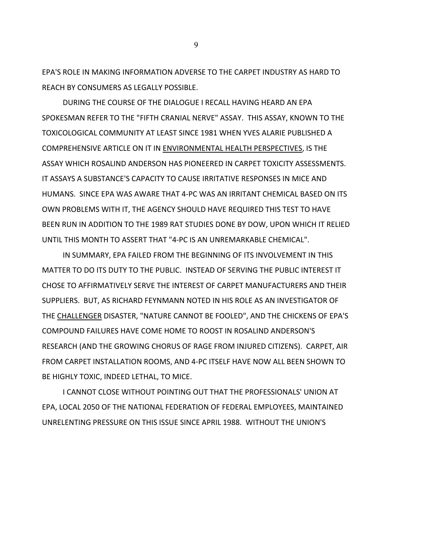EPA'S ROLE IN MAKING INFORMATION ADVERSE TO THE CARPET INDUSTRY AS HARD TO REACH BY CONSUMERS AS LEGALLY POSSIBLE.

DURING THE COURSE OF THE DIALOGUE I RECALL HAVING HEARD AN EPA SPOKESMAN REFER TO THE "FIFTH CRANIAL NERVE" ASSAY. THIS ASSAY, KNOWN TO THE TOXICOLOGICAL COMMUNITY AT LEAST SINCE 1981 WHEN YVES ALARIE PUBLISHED A COMPREHENSIVE ARTICLE ON IT IN ENVIRONMENTAL HEALTH PERSPECTIVES, IS THE ASSAY WHICH ROSALIND ANDERSON HAS PIONEERED IN CARPET TOXICITY ASSESSMENTS. IT ASSAYS A SUBSTANCE'S CAPACITY TO CAUSE IRRITATIVE RESPONSES IN MICE AND HUMANS. SINCE EPA WAS AWARE THAT 4-PC WAS AN IRRITANT CHEMICAL BASED ON ITS OWN PROBLEMS WITH IT, THE AGENCY SHOULD HAVE REQUIRED THIS TEST TO HAVE BEEN RUN IN ADDITION TO THE 1989 RAT STUDIES DONE BY DOW, UPON WHICH IT RELIED UNTIL THIS MONTH TO ASSERT THAT "4-PC IS AN UNREMARKABLE CHEMICAL".

IN SUMMARY, EPA FAILED FROM THE BEGINNING OF ITS INVOLVEMENT IN THIS MATTER TO DO ITS DUTY TO THE PUBLIC. INSTEAD OF SERVING THE PUBLIC INTEREST IT CHOSE TO AFFIRMATIVELY SERVE THE INTEREST OF CARPET MANUFACTURERS AND THEIR SUPPLIERS. BUT, AS RICHARD FEYNMANN NOTED IN HIS ROLE AS AN INVESTIGATOR OF THE CHALLENGER DISASTER, "NATURE CANNOT BE FOOLED", AND THE CHICKENS OF EPA'S COMPOUND FAILURES HAVE COME HOME TO ROOST IN ROSALIND ANDERSON'S RESEARCH (AND THE GROWING CHORUS OF RAGE FROM INJURED CITIZENS). CARPET, AIR FROM CARPET INSTALLATION ROOMS, AND 4-PC ITSELF HAVE NOW ALL BEEN SHOWN TO BE HIGHLY TOXIC, INDEED LETHAL, TO MICE.

I CANNOT CLOSE WITHOUT POINTING OUT THAT THE PROFESSIONALS' UNION AT EPA, LOCAL 2050 OF THE NATIONAL FEDERATION OF FEDERAL EMPLOYEES, MAINTAINED UNRELENTING PRESSURE ON THIS ISSUE SINCE APRIL 1988. WITHOUT THE UNION'S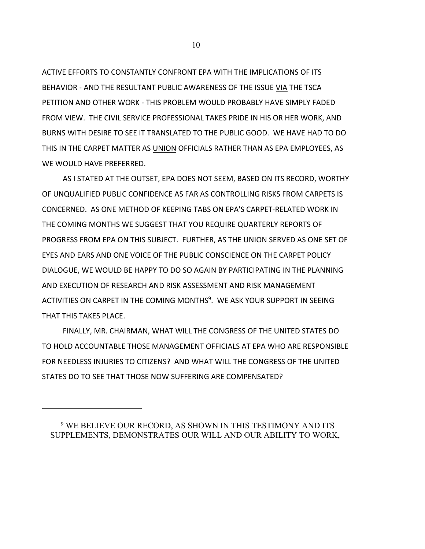ACTIVE EFFORTS TO CONSTANTLY CONFRONT EPA WITH THE IMPLICATIONS OF ITS BEHAVIOR - AND THE RESULTANT PUBLIC AWARENESS OF THE ISSUE VIA THE TSCA PETITION AND OTHER WORK - THIS PROBLEM WOULD PROBABLY HAVE SIMPLY FADED FROM VIEW. THE CIVIL SERVICE PROFESSIONAL TAKES PRIDE IN HIS OR HER WORK, AND BURNS WITH DESIRE TO SEE IT TRANSLATED TO THE PUBLIC GOOD. WE HAVE HAD TO DO THIS IN THE CARPET MATTER AS UNION OFFICIALS RATHER THAN AS EPA EMPLOYEES, AS WE WOULD HAVE PREFERRED.

AS I STATED AT THE OUTSET, EPA DOES NOT SEEM, BASED ON ITS RECORD, WORTHY OF UNQUALIFIED PUBLIC CONFIDENCE AS FAR AS CONTROLLING RISKS FROM CARPETS IS CONCERNED. AS ONE METHOD OF KEEPING TABS ON EPA'S CARPET-RELATED WORK IN THE COMING MONTHS WE SUGGEST THAT YOU REQUIRE QUARTERLY REPORTS OF PROGRESS FROM EPA ON THIS SUBJECT. FURTHER, AS THE UNION SERVED AS ONE SET OF EYES AND EARS AND ONE VOICE OF THE PUBLIC CONSCIENCE ON THE CARPET POLICY DIALOGUE, WE WOULD BE HAPPY TO DO SO AGAIN BY PARTICIPATING IN THE PLANNING AND EXECUTION OF RESEARCH AND RISK ASSESSMENT AND RISK MANAGEMENT ACTIVITIES ON CARPET IN THE COMING MONTHS<sup>9</sup>. WE ASK YOUR SUPPORT IN SEEING THAT THIS TAKES PLACE.

FINALLY, MR. CHAIRMAN, WHAT WILL THE CONGRESS OF THE UNITED STATES DO TO HOLD ACCOUNTABLE THOSE MANAGEMENT OFFICIALS AT EPA WHO ARE RESPONSIBLE FOR NEEDLESS INJURIES TO CITIZENS? AND WHAT WILL THE CONGRESS OF THE UNITED STATES DO TO SEE THAT THOSE NOW SUFFERING ARE COMPENSATED?

 <sup>9</sup> WE BELIEVE OUR RECORD, AS SHOWN IN THIS TESTIMONY AND ITS SUPPLEMENTS, DEMONSTRATES OUR WILL AND OUR ABILITY TO WORK,